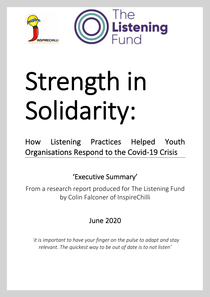

# Strength in Solidarity:

How Listening Practices Helped Youth Organisations Respond to the Covid-19 Crisis

'Executive Summary'

From a research report produced for The Listening Fund by Colin Falconer of InspireChilli

June 2020

*'it is important to have your finger on the pulse to adapt and stay relevant. The quickest way to be out of date is to not listen'*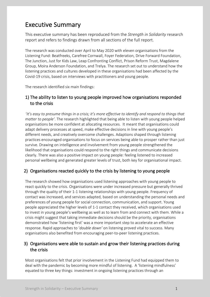## Executive Summary

This executive summary has been reproduced from the *Strength in Solidarity* research report and refers to findings drawn from all sections of the full report.

The research was conducted over April to May 2020 with eleven organisations from the Listening Fund: Beatfreeks, Carefree Cornwall, Foyer Federation, Drive Forward Foundation, The Junction, Just for Kids Law, Leap Confronting Conflict, Prison Reform Trust, Magdalene Group, Moira Anderson Foundation, and Trelya. The research set out to understand how the listening practices and cultures developed in these organisations had been affected by the Covid-19 crisis, based on interviews with practitioners and young people.

The research identified six main findings:

#### 1) The ability to listen to young people improved how organisations responded to the crisis

 '*It's easy to presume things in a crisis; it's more effective to identify and respond to things that matter to people'*. The research highlighted that being able to listen with young people helped organisations be more confident at allocating resources. It meant that organisations could adapt delivery processes at speed, make effective decisions in line with young people's different needs, and creatively overcome challenges. Adaptions shaped through listening practices encouraged organisations to focus on services being able to prosper rather than just survive. Drawing on intelligence and involvement from young people strengthened the likelihood that organisations could respond to the right things and communicate decisions clearly. There was also a positive impact on young people: feeling listened to increased personal wellbeing and generated greater levels of trust, both key for organisational impact.

### 2) Organisations reacted quickly to the crisis by listening to young people

The research showed how organisations used listening approaches with young people to react quickly to the crisis. Organisations were under increased pressure but generally thrived through the quality of their 1-1 listening relationships with young people. Frequency of contact was increased, and services adapted, based on understanding the personal needs and preferences of young people for social connection, communication, and support. Young people appreciated the higher levels of 1-1 contact they received, which organisations used to invest in young people's wellbeing as well as to learn from and connect with them. While a crisis might suggest that taking immediate decisions should be the priority, organisations demonstrated how 'listening first' was a more important step to accelerate an effective response. Rapid approaches to '*double down'* on listening proved vital to success. Many organisations also benefited from encouraging peer-to-peer listening practices.

#### 3) Organisations were able to sustain and grow their listening practices during the crisis

Most organisations felt that prior involvement in the Listening Fund had equipped them to deal with the pandemic by becoming more mindful of listening. A 'listening mindfulness' equated to three key things: investment in ongoing listening practices through an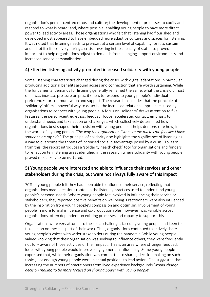organisation's person-centred ethos and culture; the development of processes to codify and respond to what is heard; and, where possible, enabling young people to have more direct power to lead activity areas. Those organisations who felt that listening had flourished and developed most appeared to have embedded more adaptive cultures and spaces for listening. It was noted that listening needs to pre-exist at a certain level of capability for it to sustain and adapt itself positively during a crisis. Investing in the capacity of staff also proved important to help organisations adjust to demands from changing support environments and increased service personalisation.

#### 4) Effective listening activity promoted increased solidarity with young people

Some listening characteristics changed during the crisis, with digital adaptations in particular producing additional benefits around access and connection that are worth sustaining. While the fundamental demands for listening generally remained the same, what the crisis did most of all was increase pressure on practitioners to respond to young people's individual preferences for communication and support. The research concludes that the principle of 'solidarity' offers a powerful way to describe the increased relational approaches used by organisations to connect with young people. A focus on 'solidarity' draws attention to five features: the person-centred ethos, feedback loops, accelerated contact, emphasis to understand needs and take action on challenges, which collectively determined how organisations best shaped their provision with young people. It helps demonstrate how, in the words of a young person, '*The way the organisation listens to me makes me feel like I have someone on my side'.* The principal of solidarity also highlights the significance of listening as a way to overcome the threats of increased social disadvantage posed by a crisis. To learn from this, the report introduces a 'solidarity health check' tool for organisations and funders to reflect on ten listening areas identified in the research where solidarity with young people proved most likely to be nurtured.

### 5) Young people were interested and able to influence their services and other stakeholders during the crisis, but were not always fully aware of this impact

70% of young people felt they had been able to influence their service, reflecting that organisations made decisions rooted in the listening practices used to understand young people's personal needs. Where young people felt involved in influencing their service or stakeholders, they reported positive benefits on wellbeing. Practitioners were also influenced by the inspiration from young people's compassion and optimism. Involvement of young people in more formal influence and co-production roles, however, was variable across organisations, often dependent on existing processes and capacity to support this.

Organisations were very attuned to the social challenges faced by young people and keen to take action on these as part of their work. Thus, organisations continued to actively share young people's voices with wider stakeholders during the pandemic. While young people valued knowing that their organisation was seeking to influence others, they were frequently not fully aware of those activities or their impact. This is an area where stronger feedback loops with young people would improve engagement in influencing. Some young people expressed that, while their organisation was committed to sharing decision making on such topics, not enough young people were in actual positions to lead action. One suggested that increasing the numbers of practitioners from lived experience backgrounds '*would change decision making to be more focused on sharing power with young people*'.